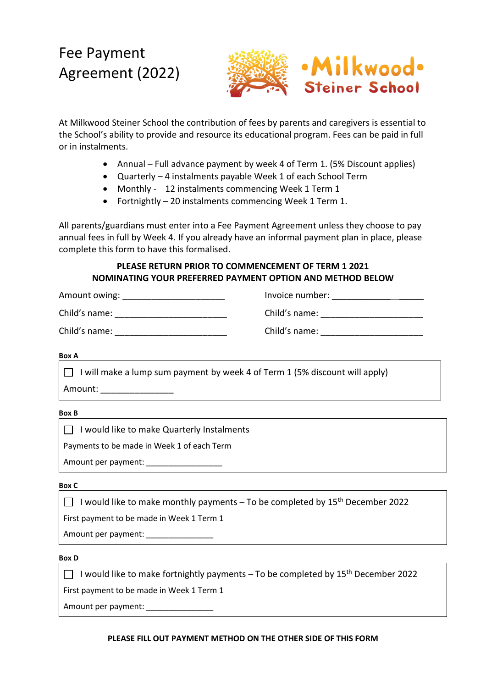## Fee Payment Agreement (2022)



At Milkwood Steiner School the contribution of fees by parents and caregivers is essential to the School's ability to provide and resource its educational program. Fees can be paid in full or in instalments.

- Annual Full advance payment by week 4 of Term 1. (5% Discount applies)
- Quarterly 4 instalments payable Week 1 of each School Term
- Monthly 12 instalments commencing Week 1 Term 1
- Fortnightly 20 instalments commencing Week 1 Term 1.

All parents/guardians must enter into a Fee Payment Agreement unless they choose to pay annual fees in full by Week 4. If you already have an informal payment plan in place, please complete this form to have this formalised.

## **PLEASE RETURN PRIOR TO COMMENCEMENT OF TERM 1 2021 NOMINATING YOUR PREFERRED PAYMENT OPTION AND METHOD BELOW**

| Amount owing: | Invoice number: |
|---------------|-----------------|
| Child's name: | Child's name:   |
| Child's name: | Child's name:   |

**Box A**

 $\Box$  I will make a lump sum payment by week 4 of Term 1 (5% discount will apply) Amount: \_\_\_\_\_\_\_\_\_\_\_\_\_\_\_\_\_

**Box B**

 $\Box$  I would like to make Quarterly Instalments

Payments to be made in Week 1 of each Term

Amount per payment: \_\_\_\_\_\_\_\_\_\_\_\_\_\_\_\_\_

**Box C**

 $\Box$  I would like to make monthly payments – To be completed by 15<sup>th</sup> December 2022

First payment to be made in Week 1 Term 1

Amount per payment: \_\_\_\_\_\_\_\_\_\_\_\_\_\_\_\_\_\_

**Box D**

I would like to make fortnightly payments – To be completed by  $15^{th}$  December 2022

First payment to be made in Week 1 Term 1

Amount per payment: \_\_\_\_\_\_\_\_\_\_\_\_\_\_\_

## **PLEASE FILL OUT PAYMENT METHOD ON THE OTHER SIDE OF THIS FORM**